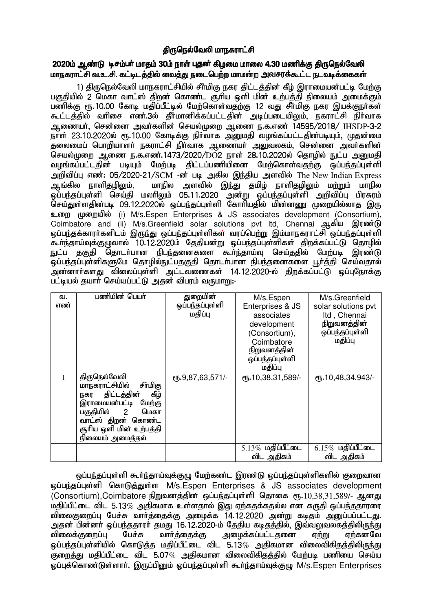# திருநெல்வேலி மாநகராட்சி

## 2020ம் ஆண்டு டிசம்பர் மாதம் 30ம் நாள் புதன் கிழமை மாலை 4.30 மணிக்கு திருநெல்வேலி மாநகராட்சி வ.உ.சி. கட்டிடத்தில் வைத்து நடைபெற்ற மாமன்ற அவசரக்கூட்ட நடவடிக்கைகள்

1) திருநெல்வேலி மாநகராட்சியில் சீர்மிகு நகர திட்டத்தின் கீழ் இராமையன்பட்டி மேற்கு பகுதியில் 2 மெகா வாட்ஸ் திறன் கொண்ட சூரிய ஒளி மின் உற்பத்தி நிலையம் அமைக்கும் பணிக்கு ரூ.10.00 கோடி மதிப்பீட்டில் மேற்கொள்வதற்கு 12 வது சீர்மிகு நகர இயக்குநா்கள் கூட்டத்தில் வரிசை எண்.3ல் தீர்மானிக்கப்பட்டதின் அடிப்படையிலும், நகராட்சி நிர்வாக Mizah;> nrd;id mth;fspd; nray;Kiw Miz e.f.vz; 14595/2018/ IHSDP-3-2 நாள் 23.10.2020ல் ரூ.10.00 கோடிக்கு நிர்வாக அனுமதி வழங்கப்பட்டதின்படியும், முதன்மை தலைமைப் பொறியாளர் நகராட்சி நிர்வாக ஆணையர் அலுவலகம், சென்னை அவர்களின் செயல்முறை ஆணை ந.க.எண்.1473/2020/DO2 நாள் 28.10.2020ல் தொழில் நுட்ப அறுமதி வழங்கப்பட்டதின் படியும் மேற்படி திட்டப்பணியினை மேற்கொள்வதற்கு ஒப்பந்தப்புள்ளி அறிவிப்பு எண்: 05/2020-21/SCM -ன் படி அகில இந்திய அளவில் The New Indian Express ஆங்கில நாளிதழிலும், மாநில அளவில் இந்து தமிழ் நாளிதழிலும் மற்றும் மாநில ىق.<br>ஒப்பந்தப்புள்ளி செய்தி மலாிலும் 05.11.2020 அன்று ஒப்பந்தப்புள்ளி அறிவிப்பு பிரசுரம் செய்துள்ளதின்படி 09.12.2020ல் ஒப்பந்தப்புள்ளி கோரியதில் மின்னணு முறையில்லாத இரு உறை முறையில் (i) M/s.Espen Enterprises & JS associates development (Consortium), Coimbatore and (ii) M/s.Greenfield solar solutions pvt ltd, Chennai ஆகிய இரண்டு ஒப்பந்தக்காரா்களிடம் இருந்து ஒப்பந்தப்புள்ளிகள் வரப்பெற்று இம்மாநகராட்சி ஒப்பந்தப்புள்ளி கூர்ந்தாய்வுக்குழுவால் 10.12.2020ம் தேதியன்று ஒப்பந்தப்புள்ளிகள் திறக்கப்பட்டு தொழில் நுட்ப தகுதி தொடர்பான நிபந்தனைகளை கூர்ந்தாய்வு செய்ததில் மேற்படி இரண்டு .<br>ஒப்பந்தப்புள்ளிகளுமே தொழில்நுட்பதகுதி தொடர்பான நிபந்தனைகளை பூர்த்தி செய்வதால் அன்னார்களது விலைப்புள்ளி அட்டவணைகள் 14.12.2020-ல் திறக்கப்பட்டு ஒப்புநோக்கு பட்டியல் தயாா் செய்யப்பட்டு அதன் விபரம் வருமாறு:-

| வ.<br>எண் | பணியின் பெயர்                                                                                                                                                                                                   | துறையின்<br>ஒப்பந்தப்புள்ளி<br>மதிப்பு | M/s.Espen<br>Enterprises & JS<br>associates | M/s.Greenfield<br>solar solutions pvt<br>Itd, Chennai |
|-----------|-----------------------------------------------------------------------------------------------------------------------------------------------------------------------------------------------------------------|----------------------------------------|---------------------------------------------|-------------------------------------------------------|
|           |                                                                                                                                                                                                                 |                                        | development<br>(Consortium),                | நிறுவனத்தின்<br>ஒப்பந்தப்புள்ளி                       |
|           |                                                                                                                                                                                                                 |                                        | Coimbatore<br><u>நிறுவனத்தின்</u>           | மதிப்பு                                               |
|           |                                                                                                                                                                                                                 |                                        | ஒப்பந்தப்புள்ளி<br>மதிப்பு                  |                                                       |
|           | திருநெல்வேலி<br>மாநகராட்சியில்<br>சீா்மிகு<br>கீழ்<br>திட்டத்தின்<br>நகர<br>இராமையன்பட்டி<br>மேற்கு<br>பகுதியில்<br>$\overline{2}$<br>மெகா<br>வாட்ஸ் திறன் கொண்ட<br>சூரிய ஒளி மின் உற்பத்தி<br>நிலையம் அமைத்தல் | ரு. 9,87,63,571/-                      | СПБ. 10, 38, 31, 589/-                      | ரு.10,48,34,943/-                                     |
|           |                                                                                                                                                                                                                 |                                        | $5.13\%$ மதிப்பீட்டை<br>விட அதிகம்          | $6.15\%$ மதிப்பீட்டை<br>விட அதிகம்                    |
|           |                                                                                                                                                                                                                 |                                        |                                             |                                                       |

ஒப்பந்தப்புள்ளி கூர்ந்தாய்வுக்குழு மேற்கண்ட இரண்டு ஒப்பந்தப்புள்ளிகளில் குறைவான xg;ge;jg;Gs;sp nfhLj;Js;s M/s.Espen Enterprises & JS associates development  $(Con$ sortium),Coimbatore நிறுவனத்தின் ஒப்பந்தப்புள்ளி தொகை ரூ.10,38,31,589/- ஆனது  $\mu$ திப்பீட்டை விட 5.13 $\%$  அதிகமாக உள்ளதால் இது ஏற்கதக்கதல்ல என கருதி ஒப்பந்ததாரரை விலைகுறைப்பு பேச்சு வார்த்தைக்கு அழைக்க 14.12.2020 அன்று கடிதம் அனுப்பப்பட்டது. அதன் பின்னா் ஒப்பந்ததாரா் தமது 16.12.2020-ம் தேதிய கடிதத்தில், இவ்வலுவலகத்திலிருந்து<br>விலைக்குறைப்பு பேச்சு வாா்த்தைக்கு அழைக்கப்பட்டதனை ஏற்று ஏற்கனவே அழைக்கப்பட்டதனை ஏ<u>ற்று</u> ஏற்கனவே ஓப்பந்தப்புள்ளியில் கொடுத்த மதிப்பீட்டை விட 5.13 $\%$  அதிகமான விலைவிகிதக்கிலிருந்து .<br>குறைத்து மதிப்பீட்டை விட 5.07% அதிகமான விலைவிகிதத்தில் மேற்படி பணியை செய்ய லப்புக்கொண்டுள்ளார். இருப்பினும் ஒப்பந்தப்புள்ளி கூர்ந்தாய்வுக்குழு M/s.Espen Enterprises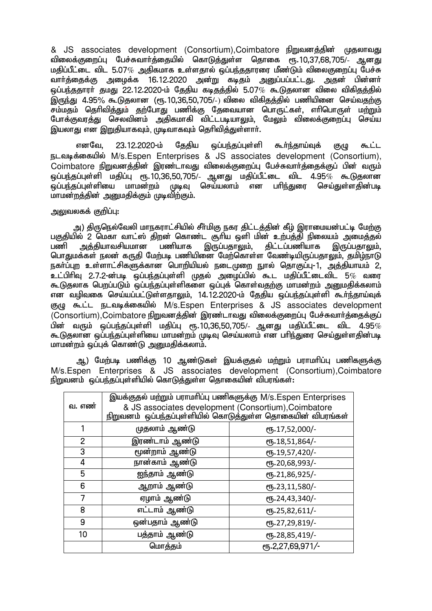& JS associates development (Consortium), Coimbatore நிறுவனத்தின் முதலாவது விலைக்குறைப்பு பேச்சுவார்க்கையில் கொடுக்குள்ள கொகை ரூ.10.37.68.705/- ஆனது  $\mu$ கிப்பீட்டை விட 5.07 $\%$  அகிகமாக உள்ளகால் ஒப்பந்கதாரரை மீண்டும் விலைகுறைப்பு பேச்சு வார்த்தைக்கு அழைக்க 16.12.2020 அன்று கடிதம் அனுப்பப்பட்டது. அதன் பின்னர் xg;ge;jjhuh; jkJ 22.12.2020-k; Njjpa fbjj;jpy; 5.07% \$Ljyhd tpiy tpfpjj;jpy; இருந்து 4.95% கூடுகலான (ரூ.10.36.50.705/-) விலை விகிகத்தில் பணியினை செய்வதற்கு <u>சம்மத</u>ம் தெரிவித்தும் தற்போது பணிக்கு தேவையான பொருட்கள், எரிபொருள் மற்றும் ா<br>போக்குவரத்து செலவினம் அதிகமாகி விட்டபடியாலும், மேலும் விலைக்குறைப்பு செய்ய இயலாது என இறுதியாகவும், முடிவாகவும் தெரிவித்<u>க</u>ுள்ளார்.

எனவே, 23.12.2020-ம் தேதிய ஒப்பந்தப்புள்ளி கூர்ந்தாய்வுக் குழு கூட்ட நடவடிக்கையில் M/s.Espen Enterprises & JS associates development (Consortium), Coimbatore நிறுவனத்தின் இரண்டாவது விலைக்குறைப்பு பேச்சுவார்த்தைக்குப் பின் வரும் ஒப்பந்தப்புள்ளி மதிப்பு ரூ.10,36,50,705/- ஆனது மதிப்பீட்டை விட 4.95 $\%$  கூடுகலான .<br>ஒப்பந்தப்புள்ளியை மாமன்றம் முடிவு செய்யலாம் என பரிந்துரை செய்துள்ளதின்படி மாமன்றத்தின் அறுமதிக்கும் முடிவிற்கும்.

## அலுவலகக் குறிப்பு:

அ) திருநெல்வேலி மாநகராட்சியில் சீர்மிகு நகர திட்டத்தின் கீழ் இராமையன்பட்டி மேற்கு பகுதியில் 2 மெகா வாட்ஸ் திறன் கொண்ட சூரிய ஒளி மின் உற்பத்தி நிலையம் அமைத்தல்<br>பணி அக்கியாவசியமான பணியாக இருப்பதாலும். கிட்டப்பணியாக இருப்பதாலும். பணி அத்தியாவசியமான பணியாக இருப்பதாலும், திட்டப்பணியாக இருப்பதாலும், பொதுமக்கள் நலன் கருதி மேற்படி பணியினை மேற்கொள்ள வேண்டியிருப்பதாலும், தமிழ்நாடு நகர்ப்புற உள்ளாட்சிகளுக்கான பொறியியல் நடைமுறை நுால் தொகுப்பு-1, அத்தியாயம் 2,  $\,$ உட்பிரிவ 2.7.2-ன்படீ ஒப்பந்தப்பள்ளி முகல் அமைப்பில் கூட மகிப்பீட்டைவிட 5 $\%$  வரை கூடுதலாக பெறப்படும் ஒப்பந்தப்புள்ளிகளை ஒப்புக் கொள்வதற்கு மாமன்றம் அறுமதிக்கலாம் என வழிவகை செய்யப்பட்டுள்ளதாலும், 14.12.2020-ம் தேதிய ஒப்பந்தப்புள்ளி கூர்ந்தாய்வுக் ருமு கூட்ட நடவடிக்கையில் M/s.Espen Enterprises & JS associates development  $\sim$ Consortium),Coimbatore நிறுவனக்கின் இரண்டாவகு விலைக்குறைப்ப பேச்சுவார்க்கைக்குப்  $\hat{\bf g}$ ம் வரும் ஒப்பந்தப்புள்ளி மகிப்பு ரூ.10.36.50.705/- ஆனது மகிப்பீட்டை விட 4.95 $\%$ கூடுதலான ஒப்பந்தப்புள்ளியை மாமன்றம் முடிவு செய்யலாம் என பரிந்துரை செய்துள்ளதின்படி மாமன்றம் ஒப்புக் கொண்டு அனுமதிக்கலாம்.

ஆ) மேற்படி பணிக்கு 10 ஆண்டுகள் இயக்குதல் மற்றும் பராமாிப்பு பணிகளுக்கு M/s.Espen Enterprises & JS associates development (Consortium),Coimbatore நிறுவனம் ஒப்பந்தப்புள்ளியில் கொடுத்துள்ள தொகையின் விபரங்கள்:

| வ. எண்         | இயக்குதல் மற்றும் பராமரிப்பு பணிகளுக்கு M/s.Espen Enterprises<br>& JS associates development (Consortium), Coimbatore<br>நிறுவனம் ஒப்பந்தப்புள்ளியில் கொடுத்துள்ள தொகையின் விபரங்கள் |                  |  |  |
|----------------|--------------------------------------------------------------------------------------------------------------------------------------------------------------------------------------|------------------|--|--|
|                | முதலாம் ஆண்டு                                                                                                                                                                        | ரூ.17,52,000/-   |  |  |
| $\overline{2}$ | இரண்டாம் ஆண்டு                                                                                                                                                                       | ரூ.18,51,864/-   |  |  |
| 3              | மூன்றாம் ஆண்டு                                                                                                                                                                       | ரூ.19,57,420/-   |  |  |
| 4              | நான்காம் ஆண்டு                                                                                                                                                                       | ரூ.20,68,993/-   |  |  |
| 5              | ஐந்தாம் ஆண்டு                                                                                                                                                                        | ரூ.21,86,925/-   |  |  |
| 6              | ஆறாம் ஆண்டு                                                                                                                                                                          | ரூ.23,11,580/-   |  |  |
| 7              | ஏழாம் ஆண்டு                                                                                                                                                                          | ரூ.24,43,340/-   |  |  |
| 8              | எட்டாம் ஆண்டு                                                                                                                                                                        | ரூ.25,82,611/-   |  |  |
| 9              | ஒன்பதாம் ஆண்டு                                                                                                                                                                       | ரூ.27,29,819/-   |  |  |
| 10             | பத்தாம் ஆண்டு                                                                                                                                                                        | ரூ.28,85,419/-   |  |  |
|                | மொத்தம்                                                                                                                                                                              | ரு.2,27,69,971/- |  |  |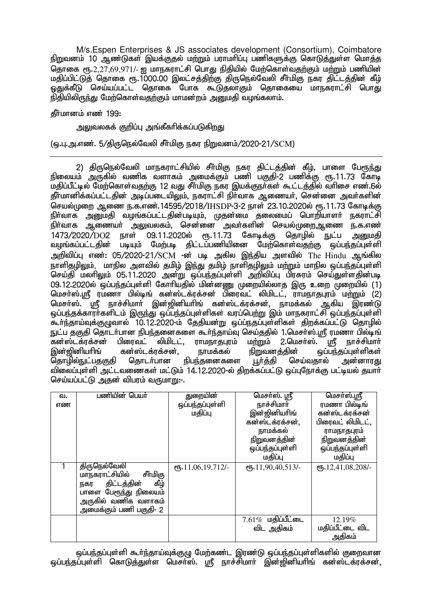M/s.Espen Enterprises & JS associates development (Consortium), Coimbatore நிறுவனம் 10 ஆண்டுகள் இயக்குதல் மற்றும் பராமாிப்பு பணிகளுக்கு கொடுத்துள்ள மொத்த ு.<br>தொகை ரூ.2,27,69,971/- ஐ மாநகராட்சி பொது நிதியில் மேற்கொள்வதற்கும் மற்றும் பணியின் மதிப்பிட்டுத் தொகை ரூ.1000.00 இலட்சத்திற்கு திருநெல்வேலி சீா்மிகு நகர திட்டத்தின் கீழ் <u>ஒது</u>க்கீடு செய்யப்பட்ட தொகை போக கூடுதலாகும் தொகையை மாநகராட்சி பொது  $\tilde{\mathfrak g}$ நிதியிலிருந்து மேற்கொள்வதற்கும் மாமன்றம் அனுமதி வழங்கலாம்.

கீர்மானம் எண் $199:$ 

அலுவலகக் குறிப்பு அங்கீகரிக்கப்படுகிறது

(ஒ.பு.அ.எண். 5/திருநெல்வேலி சீர்மிகு நகர நிறுவனம்/2020-21/SCM)

2) திருநெல்வேலி மாநகராட்சியில் சீா்மிகு நகர திட்டத்தின் கீழ், பாளை பேரூந்து நிலையம் அருகில் வணிக வளாகம் அமைக்கும் பணி பகுதி-2 பணிக்கு ரூ.11.73 கோடி மதிப்பீட்டில் மேற்கொள்வதற்கு 12 வது சீர்மிகு நகர இயக்குநர்கள் கூட்டத்தில் வரிசை எண்.6ல் தீர்மானிக்கப்பட்டதின் அடிப்படையிலும், நகராட்சி நிர்வாக ஆணையர், சென்னை அவர்களின் செயல்முறை ஆணை ந.க.எண்.14595/2018/IHSDP-3-2 நாள் 23.10.2020ல் ரூ.11.73 கோடிக்கு நிர்வாக அனுமதி வழங்கப்பட்டதின்படியும், முதன்மை தலைமைப் பொறியாளர் நகராட்சி .<br>நிர்வாக ஆணையர் அலுவலகம், சென்னை அவர்களின் செயல்முறைஆணை ந.க.எண் 1473/2020/DO2 நாள் 09.11.2020ல் ரூ.11.73 கோடிக்கு தொழில் நுட்ப அறுமதி ்பட்டதின் படியும் மேற்படி திட்டப்பணியினை மேற்கொள்வதற்கு ஒப்பந்தப்புள்ளி அறிவிப்பு எண்: 05/2020-21/SCM -ன் படி அகில இந்திய அளவில் The Hindu ஆங்கில நாளிதழிலும், மாநில அளவில் தமிழ் இந்து தமிழ் நாளிதழிலும் மற்றும் மாநில ஒப்பந்தப்புள்ளி .<br>செய்தி மலரிலும் 05.11.2020 அன்று ஒப்பந்தப்புள்ளி அறிவிப்பு பிரசுரம் செய்துள்ளதின்படி 09.12.2020ல் ஒப்பந்தப்புள்ளி கோரியதில் மின்னணு முறையில்லாத இரு உறை முறையில் (1) மெசர்ஸ்.ஸ்ரீ ரமணா பில்டிங் கன்ஸ்டக்ரக்சன் பிரைவட் லிமிடட், ராமநாதபுரம் மற்றும் (2) மெசா்ஸ். ந்ரீ, நாச்சிமாா் இன்ஜினியாிங் கன்ஸ்டக்ரக்சன், நாமக்கல் ஆகிய இரண்டு ் ஒப்பந்தக்காரர்களிடம் இருந்து ஒப்பந்தப்புள்ளிகள் வரப்பெற்று இம் மாநகராட்சி ஒப்பந்தப்புள்ளி கூர்ந்தாய்வுக்குமுவால் 10.12.2020-ம் தேதியன்று ஒப்ப்நதப்புள்ளிகள் திறக்கப்பட்டு கொழில் El;g jFjp njhlh;ghd epge;jidfis \$h;e;jha;T nra;jjpy; 1.nkrh;];.= ukzh gpy;bq; .<br>கன்ஸ்டக்ரக்சன் பிரைவட் லிமிடட், ராமநாதபுர<br>இன்ஜினியாிங் கன்ஸ்டக்ரக்சன், நாமக்கல் இன்ஜினியாிங் கன்ஸ்டக்ரக்சன், நாமக்கல் நிறுவனத்தின் ஒப்பந்தப்புள்ளிகள்<br>தொழில்நுட்பதகுதி தொடா்பான நிபந்தனைகளை பூா்த்தி செய்வதால் அன்னாரது தொடர்பான நிபந்தனைகளை விலைப்புள்ளி அட்டவணைகள் மட்டும் 14.12.2020-ல் திறக்கப்பட்டு ஒப்புநோக்கு பட்டியல் தயார் செய்யப்பட்டு அதன் விபரம் வருமாறு:-.

| வ.<br>எண | பணியின் பெயர்                                                                                                                                      | துறையின்<br>ஒப்பந்தப்புள்ளி<br>மதிப்பு    | மெசர்ஸ். ஸ்ரீ<br>நாச்சிமார்<br>இன்ஜினியரிங்<br>கன்ஸ்டக்ரக்சன்,<br>நாமக்கல்<br><u>நிறுவனத்தின்</u><br>ஒப்பந்தப்புள்ளி<br>மதிப்பு | மெசா்ஸ்.ஸ்ரீ<br>ரமணா பில்டிங்<br>கன்ஸ்டக்ரக்சன்<br>பிரைவட் லிமிடட்,<br>ராமநாதபுரம்<br><u>நிறுவனத்தின்</u><br>ஒப்பந்தப்புள்ளி<br>மதிப்பு |
|----------|----------------------------------------------------------------------------------------------------------------------------------------------------|-------------------------------------------|---------------------------------------------------------------------------------------------------------------------------------|-----------------------------------------------------------------------------------------------------------------------------------------|
|          | திருநெல்வேலி<br>மாநகராட்சியில்<br>சீா்மிகு<br>கீழ்<br>திட்டத்தின்<br>நகர<br>பாளை பேரூந்து நிலையம்<br>அருகில் வணிக வளாகம்<br>அமைக்கும் பணி பகுதி- 2 | $($ <sup>0</sup> $\frac{11,06,19,712}{-}$ | еҧ.11,90,40,513/-                                                                                                               | ст. 12,41,08,208/-                                                                                                                      |
|          |                                                                                                                                                    |                                           | $7.61\%$ uglulion<br>விட அதிகம்                                                                                                 | 12.19%<br>மதிப்பீட்டை விட<br>அதிகம்                                                                                                     |

<u>ஒப்பந்த</u>ப்புள்ளி கூர்ந்தாய்வுக்குழு மேற்கண்ட இரண்டு ஒப்பந்தப்புள்ளிகளில் குறைவான ஒப்பந்தப்புள்ளி கொடுத்துள்ள மெசர்ஸ். ஸ்ரீ நாச்சிமார் இன்ஜினியரிங் கன்ஸ்டக்ரக்சன்,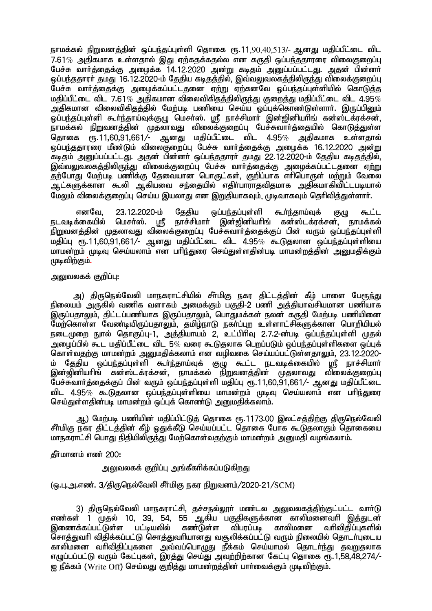நாமக்கல் நிறுவனத்தின் ஒப்பந்தப்புள்ளி தொகை ரூ.11, $90,40,513/$ - ஆனது மதிப்பீட்டை விட  $7.61\%$  அகிகமாக உள்ளதால் இது ஏற்கதக்கதல்ல என கருதி ஒப்பந்ததாரரை விலைகுறைப்பு பேச்சு வார்த்தைக்கு அழைக்க 14.12.2020 அன்று கடிதம் அனுப்பப்பட்டது. அதன் பின்னர் <u>லப்பந்ததாரர் தமது 16.12.2020-ம் தேகிய கடிதத்தில், இவ்வலுவலகத்திலிருந்து விலைக்குரைப்பு</u> .<br>பேச்சு வார்த்தைக்கு அழைக்கப்பட்டதனை ஏற்று ஏற்கனவே ஒப்பந்தப்புள்ளியில் கொடுத்த மதிப்பீட்டை விட 7.61 $\%$  அதிகமான விலைவிகிதத்திலிருந்து குறைத்து மதிப்பீட்டை விட 4.95 $\%$ ் அகிகமான விலைவிகிகுக்கில் மேற்படி பணியை செய்ய ஒப்புக்கொண்டுள்ளார். இருப்பினும் Xg;ge;jg;Gs;sp \$h;e;jha;Tf;FO nkrh;];. = ehr;rpkhh; ,d;[pdpahpq; fd;];lf;uf;rd;> .<br>நாமக்கல் நிறுவனத்தின் முதலாவது விலைக்குறைப்பு பேச்சுவார்த்தையில் கொடுத்துள்ள தொகை ரூ.11,60,91,661/- ஆனது மதிப்பீட்டை விட 4.95% அதிகமாக உள்ளதால் <u>ஓப்பந்ததாரரை மீண்டும் விலைகுறைப்பு பேச்சு வார்த்தைக்கு அமைக்க 16.12.2020 அன்று </u> .<br>கடிகம் அனுப்பப்பட்டது. அதன் பின்னா் ஒப்பந்ததாரா் தமது 22.12.2020-ம் தேதிய கடிதத்தில், இவ்வலுவலகத்திலிருந்து விலைக்குறைப்பு பேச்சு வார்த்தைக்கு அழைக்கப்பட்டதனை ஏற்று ்தற்போது மேற்படி பணிக்கு தேவையான பொருட்கள், குறிப்பாக எரிபொருள் மற்றும் வேலை ஆட்களுக்கான கூலி ஆகியவை சந்தையில் எதிர்பாராதவிதமாக அதிகமாகிவிட்டபடியால் மேலும் விலைக்குறைப்பு செய்ய இயலாது என இறுகியாகவும், முடிவாகவும் தெரிவித்துள்ளார்.

எனவே, 23.12.2020-ம் தேதிய ஒப்பந்தப்புள்ளி கூர்ந்தாய்வுக் குழு கூட்ட<br>நடவடிக்கையில் மெசர்ஸ். மடீ நாச்சிமார் இன்றினியரிங் கன்ஸ்டக்ரக்சன், நாமக்கல் இன்றினியரிங் கன்ஸ்டக்ரக்சன், நாமக்கல் .<br>நிறுவனத்தின் முதலாவது விலைக்குறைப்பு பேச்சுவார்த்தைக்குப் பின் வரும் ஒப்பந்தப்புள்ளி  $\mu$ திப்பு ரூ.11,60,91,661/- ஆனது மதிப்பீட்டை விட 4.95 $\%$  கூடுதலான ஒப்பந்தப்புள்ளியை மாமன்றம் முடிவ செய்யலாம் என பரிந்துரை செய்குள்ளகின்படி மாமன்றக்கின் அமைகிக்கும் முடிவிற்கும்.

#### அலுவலகக் குறிப்பு $:$

அ) திருநெல்வேலி மாநகராட்சியில் சீா்மிகு நகர திட்டத்தின் கீழ் பாளை ப<u>ே</u>ரூந்து நிலையம் அருகில் வணிக வளாகம் அமைக்கும் பகுதி-2 பணி அக்கியாவசியமான பணியாக .<br>இருப்பதாலும், திட்டப்பணியாக இருப்பதாலும், பொதுமக்கள் நலன் கருதி மேற்படி பணியினை மேற்கொள்ள வேண்டியிருப்பதாலும், தமிழ்நாடு நகர்ப்புற உள்ளாட்சிகளுக்கான பொறியியல் நடைமுறை நுால் தொகுப்பு-1, அத்தியாயம் 2, உட்பிரிவு 2.7.2-ன்படி ஒப்பந்தப்புள்ளி முதல் அமைப்பில் கூட மகிப்பீட்டை விட 5 $\%$  வரை கூடுகலாக பெறப்படும் ஓப்பந்தப்புள்ளிகளை ஓப்புக் கொள்வதற்கு மாமன்றம் அறுமதிக்கலாம் என வழிவகை செய்யப்பட்டுள்ளதாலும். 23.12.2020-ம் தேதிய ஒப்பந்தப்புள்ளி கூர்ந்தாய்வுக் குழு கூட்ட நடவடிக்கையில் ஸ்ரீ நாச்சிமார் இன்ஜினியரிங் கன்ஸ்டக்ரக்சன், நாமக்கல் நிறுவனத்தின் முதலாவது விலைக்குறைப்பு  $\mathrm{\tilde{C}}$ பச்சுவார்த்தைக்குப் பின் வரும் ஒப்பந்தப்புள்ளி மதிப்பு ரூ.11,60, $\mathrm{\tilde{S}}$ 1,661/- ஆனது மதிப்பீட்டை விட 4.95 $\%$  கூடுகுலான ஒப்பந்தப்புள்ளியை மாமன்றம் முடிவு செய்யலாம் என பரிந்துரை செய்துள்ளதின்படி மாமன்றம் ஒப்புக் கொண்டு அறுமதிக்கலாம்.

ஆ) மேற்படி பணியின் மதிப்பிட்டுத் தொகை ரூ.1173.00 இலட்சத்திற்கு திருநெல்வேலி சீர்மிகு நகர திட்டத்தின் கீழ் ஒதுக்கீடு செய்யப்பட்ட தொகை போக கூடுதலாகும் தொகையை மாநகாாட்சி பொது நிதியிலிருந்து மேற்கொள்வதற்கும் மாமன்றம் அனுமதி வழங்கலாம்.

## கீர்மானம் எண் $200:$

## அலுவலகக் குறிப்பு அங்கீகரிக்கப்படுகி<u>றத</u>ு

## (ஒ.பு.அ.எண். 3/திருநெல்வேலி சீர்மிகு நகர நிறுவனம்/2020-21/SCM)

3) திருநெல்வேலி மாநகராட்சி, தச்சநல்லூா் மண்டல அலுவலகத்திற்குட்பட்ட வாா்டு எண்கள் 1 முதல் 10, 39, 54, 55 ஆகிய பகுதிகளுக்கான காலிமனைவரி இத்துடன்<br>இணைக்கப்பட்டுள்ள பட்டியலில் கண்டுள்ள விபரப்படி காலிமனை வரிவிகிப்புகளில் இணைக்கப்பட்டுள்ள பட்டியலில் சோக்குவரி விகிக்கப்பட்டு சொக்குவரியானது வசூலிக்கப்பட்டு வரும் நிலையில் கொடர்ப்டைய காலிமனை வரிவிதிப்புகளை அவ்வப்பொழுது நீக்கம் செய்யாமல் தொடர்ந்து தவறுதலாக  $\sigma$  எழுப்பப்பட்டு வரும் கேட்புகள், இரத்து செய்து அவற்றிற்கான கேட்பு தொகை ரூ.1,58,48,274/- $\alpha$  நீக்கம் (Write Off) செய்வது குறித்து மாமன்றத்தின் பார்வைக்கும் முடிவிற்கும்.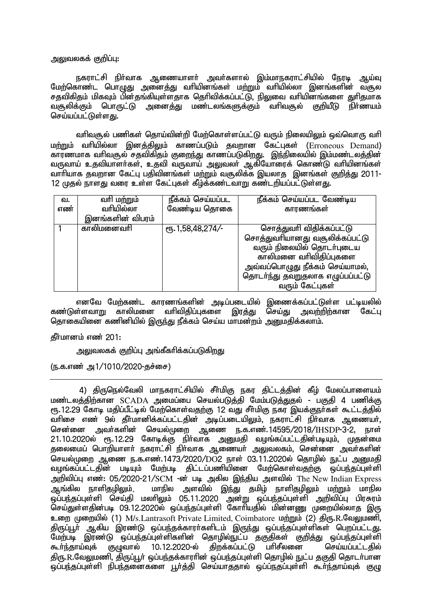அலுவலகக் குறிப்பு:

நகராட்சி நிர்வாக ஆணையாளர் அவர்களால் இம்மாநகராட்சியில் நேரடி ஆய்வு மேற்கொண்ட பொழுது அனைத்து வரியினங்கள் மற்றும் வரியில்லா இனங்களின் வசூல சதவிகிதம் மிகவும் பின்தங்கியுள்ளதாக தெரிவிக்கப்பட்டு, நிலுவை வரியினங்களை துரிதமாக வசூலிக்கும் பொருட்டு அனைத்து மண்டலங்களுக்கும் வரிவசூல் குறியீடு நிா்ணயம் செய்யப்பட்டுள்ளது.

வரிவசூல் பணிகள் தொய்வின்றி மேற்கொள்ளப்பட்டு வரும் நிலையிலும் ஒவ்வொரு வரி மற்றும் வரியில்லா இனத்திலும் காணப்படும் தவறான கேட்புகள் (Erroneous Demand) <u>காரணமாக வரிவசூல் சதவிகித</u>ம் குறைந்து காணப்படுகிறது. இந்நிலையில் இம்மண்டலத்தின் வருவாய் உதவியாளா்கள், உதவி வருவாய் அலுவலா் ஆகியோரைக் கொண்டு வாியினங்கள் வாரியாக தவறான கேட்பு பதிவினங்கள் மற்றும் வசூலிக்க இயலாத இனங்கள் குறித்து 2011-12 முதல் நாளது வரை உள்ள கேட்புகள் கீழ்க்கண்டவாறு கண்டறியப்பட்டுள்ளது.

| வ.  | வரி ம <u>ற்ற</u> ும் | நீக்கம் செய்யப்பட | நீக்கம் செய்யப்பட வேண்டிய        |
|-----|----------------------|-------------------|----------------------------------|
| எண் | வரியில்லா            | வேண்டிய தொகை      | காரணங்கள்                        |
|     | இனங்களின் விபரம்     |                   |                                  |
|     | காலிமனைவரி           | ரூ. 1,58,48,2747- | சொத்துவரி விதிக்கப்பட்டு         |
|     |                      |                   | சொத்துவரியானது வசூலிக்கப்பட்டு   |
|     |                      |                   | வரும் நிலையில் தொடர்புடைய        |
|     |                      |                   | காலிமனை வரிவிதிப்புகளை           |
|     |                      |                   | அவ்வப்பொழுது நீக்கம் செய்யாமல்,  |
|     |                      |                   | தொடர்ந்து தவறுதலாக எழுப்பப்பட்டு |
|     |                      |                   | வரும் கேட்புகள்                  |

எனவே மேற்கண்ட காரணங்களின் அடிப்படையில் இணைக்கப்பட்டுள்ள பட்டியலில்<br>ள்ளவாறு காலிமனை வரிவிகிப்புகளை இரக்கு செய்து அவற்றிற்கான சேட்பு கண்டுள்ளவாறு காலிமனை தொகையினை கணினியில் இருந்து நீக்கம் செய்ய மாமன்றம் அனுமதிக்கலாம்.

கீர்மானம் எண் $201$ :

அலுவலகக் குறிப்பு அங்கீகரிக்கப்படுகிறது

(ந.க.எண் அ $1/1010/2020$ -தச்சை)

4) திருநெல்வேலி மாநகராட்சியில் சீா்மிகு நகர திட்டத்தின் கீழ் மேலப்பாளையம் மண்டலத்திற்கான SCADA அமைப்பை செயல்படுத்தி மேம்படுத்துதல் - பகுதி 4 பணிக்கு ரு. 12.29 கோடி மதிப்பீட்டில் மேற்கொள்வதற்கு 12 வது சீர்மிகு நகர இயக்குநர்கள் கூட்டத்தில் ்வரிசை எண் 9ல் தீர்மானிக்கப்பட்டதின் அடிப்படையிலும், நகராட்சி நிர்வாக ஆணையர், சென்னை அவர்களின் செயல்முறை ஆணை ந.க.எண்.14595/2018/IHSDP-3-2, நாள் 21.10.2020ல் ரூ.12.29 கோடிக்கு நிர்வாக அனுமதி வழங்கப்பட்டதின்படியும், முதன்மை தலைமைப் பொறியாளர் நகராட்சி நிர்வாக ஆணையர் அலுவலகம், சென்னை அவர்களின் செயல்முறை ஆணை ந.க.எண்.1473/2020/DO2 நாள் 03.11.2020ல் தொழில் நுட்ப அனுமதி வழங்கப்பட்டதின் படியும் மேற்படி திட்டப்பணியினை மேற்கொள்வதற்கு ஒப்பந்தப்புள்ளி அறிவிப்பு எண்: 05/2020-21/SCM -ன் படி அகில இந்திய அளவில் The New Indian Express<br>அங்கில நாளிகமிலம், மாநில அளவில் இந்து கமிம் நாளிகமிலம் மற்றும் மாநில மாநில அளவில் <u>இந்து</u> தமிழ் நாளிதழிலும் ம<u>ற்று</u>ம் மாநில ஒப்பந்தப்புள்ளி செய்தி மலாிலும் 05.11.2020 அன்று ஒப்பந்தப்புள்ளி அறிவிப்பு பிரசுரம் செய்துள்ளதின்படி 09.12.2020ல் ஒப்பந்தப்புள்ளி கோரியதில் மின்னணு முறையில்லாத இரு உறை முறையில் (1) M/s.Lantrasoft Private Limited, Coimbatore மற்றும் (2) திரு.R.வேலுமணி, திருப்பூா் ஆகிய இரண்டு ஒப்பந்தக்காரா்களிடம் இருந்து ஒப்பந்தப்புள்ளிகள் பெறப்பட்டது. .<br>மேற்படி இரண்டு ஒப்பந்தப்புள்ளிகளின் தொழில்நுட்ப தகுதிகள் குறித்து ஒப்பந்தப்புள்ளி<br>கூர்ந்தாய்வுக் குழுவால் 10.12.2020-ல் திறக்கப்பட்டு பாிசீலனை செய்யப்பட்டதில்  $10.12.2020$ -ல் திரு.R.வேலுமணி, திருப்பூர் ஒப்பந்தக்காரரின் ஒப்பந்தப்புள்ளி தொழில் நுட்ப தகுதி தொடர்பான .<br>ஒப்பந்தப்புள்ளி நிபந்தனைகளை பூர்த்தி செய்யாததால் ஒப்ப்நதப்புள்ளி கூர்ந்தாய்வுக் குழு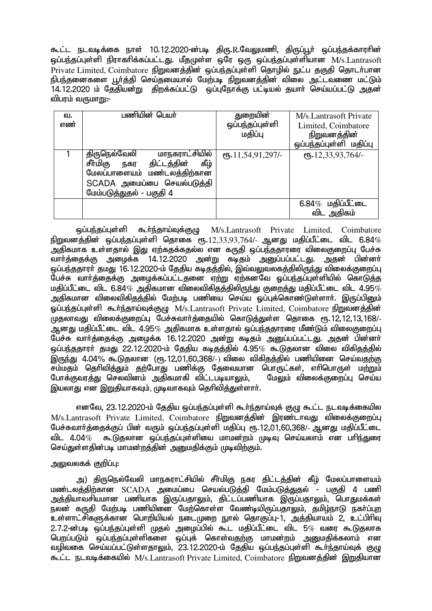கூட்ட நடவடிக்கை நாள் 10.12.2020-ன்படி திரு.R.வேலுமணி, திருப்பூர் ஒப்பந்தக்காரரின் லப்பந்தப்புள்ளி நிராகரிக்கப்பட்டது. மீதமுள்ள ஒரே ஒரு ஒப்பந்தப்புள்ளியான M/s.Lantrasoft ு<br>Private Limited, Coimbatore நிறுவனத்தின் ஓப்பந்தப்புள்ளி தொழில் நுட்ப தகுதி தொடர்பான .<br>நிபந்தனைகளை பூர்த்தி செய்தமையால் மேற்படி நிறுவனத்தின் விலை அட்டவணை மட்டும் 14.12.2020 ம் தேதியன்று திறக்கப்பட்டு ஒப்புநோக்கு பட்டியல் தயார் செய்யப்பட்டு அதன் விபரம் வருமாறு:-

| வ.<br>எண் | பணியின் பெயர்                                                                                                                                                  | துறையின்<br>ஒப்பந்தப்புள்ளி<br>மதிப்பு | M/s Lantrasoft Private<br>Limited, Coimbatore<br>நிறுவனத்தின்<br>ஒப்பந்தப்புள்ளி மதிப்பு |
|-----------|----------------------------------------------------------------------------------------------------------------------------------------------------------------|----------------------------------------|------------------------------------------------------------------------------------------|
|           | மாநகராட்சியில்<br>திருநெல்வேலி<br>சீா்மிகு<br>நகர திட்டத்தின்<br>கீழ்<br>மேலப்பாளையம் மண்டலத்திற்கான<br>SCADA அமைப்பை செயல்படுத்தி<br>மேம்படுத்துதல் - பகுதி 4 | $($ <sup>0</sup> Б. 11, 54, 91, 297/-  | сп. 12,33,93,764/-                                                                       |
|           |                                                                                                                                                                |                                        | $6.84\%$ மதிப்பீட்டை<br>விட அதிகம்                                                       |

 xg;ge;jg;Gs;sp \$h;e;jha;Tf;FO M/s.Lantrasoft Private Limited, Coimbatore  $\frac{1}{2}$ நிறுவனத்தின் ஒப்பந்தப்புள்ளி தொகை ரூ. $12,33,93,764$ /- ஆனது மதிப்பீட்டை விட  $6.84\%$ அதிகமாக உள்ளதால் இது ஏற்கதக்கதல்ல என கருதி ஒப்பந்ததாரரை விலைகுறைப்பு பேச்சு வார்த்தைக்கு அழைக்க 14.12.2020 அன்று கடிதம் அனுப்பப்பட்டது. அதன் பின்னர் <u>ஒப்பந்த</u>தாரா் தமது 16.12.2020-ம் தேதிய கடிதத்தில், இவ்வலுவலகத்திலிருந்து விலைக்குறைப்பு .<br>பேச்சு வார்த்தைக்கு அழைக்கப்பட்டதனை ஏற்று ஏற்கனவே ஒப்பந்தப்புள்ளியில் கொடுத்த மதிப்பீட்டை விட 6.84 $\%$  அதிகமான விலைவிகிதத்திலிருந்து குறைத்து மதிப்பீட்டை விட 4.95 $\%$ அதிகமான விலைவிகிதத்தில் மேற்படி பணியை செய்ய ஒப்புக்கொண்டுள்ளார். இருப்பினும் ஒப்பந்தப்புள்ளி கூர்ந்தாய்வுக்குழு M/s.Lantrasoft Private Limited, Coimbatore நிறுவனத்தின் .<br>முதலாவது விலைக்குறைப்பு பேச்சுவார்த்தையில் கொடுத்துள்ள தொகை ரூ.12,12,13,168/-ஆனது மதிப்பீட்டை விட 4.95 $\%$  அதிகமாக உள்ளதால் ஒப்பந்ததாரரை மீண்டும் விலைகுறைப்பு Ngr;R thh;j;ijf;F miof;f 16.12.2020 md;W fbjk; mDg;gg;gl;lJ. mjd; gpd;dh;  $\tilde{\bm{\omega}}$ ப்பந்தகாார் சுமகு 22.12.2020-ம் கேகிய கடிக்கில் 4.95 $\%$  கூடுகலான விலை விகிகக்கில் ் இருந்து 4.04% கூடுகலான (ரூ.12.01.60.368/-) விலை விகிகுத்தில் பணியினை செய்வதற்கு .<br>சம்மதம் தெரிவித்தும் தற்போது பணிக்கு தேவையான பொருட்கள், எரிபொருள் மற்றும்<br>போக்குவாக்கு செலவினம் அகிகமாகி விட்டபடியாலும். மேலும் விலைக்குறைப்பு செய்ய போக்குவரத்து செலவினம் அதிகமாகி விட்டபடியாலும், இயலாது என இறுதியாகவும், முடிவாகவும் தெரிவித்துள்ளார்.

எனவே, 23.12.2020-ம் தேதிய ஒப்பந்தப்புள்ளி கூர்ந்தாய்வுக் குழு கூட்ட நடவடிக்கையில  $M/s$ . Lantrasoft Private Limited, Coimbatore  $f$ hma  $\vec{a}$ பேச்சுவாா்த்தைக்குப் பின் வரும் ஒப்பந்தப்புள்ளி மதிப்பு ரூ.12,01,60,368/- ஆனது மதிப்பீட்டை<br>விட 4.04*% –* கூடுகலான ஒப்பா்கப்பள்ளியை மாமன்றம் முடிவ செய்யலாம் என பாிா்களா ் கூடுகலான ஒப்பந்தப்பள்ளியை மாமன்றம் முடிவு செய்யலாம் என பரி<u>ந்து</u>ரை செய்துள்ளதின்படி மாமன்றத்தின் அனுமதிக்கும் முடிவிற்கும்.

## அலுவலகக் குறிப்பு:

அ) திருநெல்வேலி மாநகராட்சியில் சீா்மிகு நகர திட்டத்தின் கீழ் மேலப்பாளையம் ் பண்டலக்கிற்கான SCADA அமைப்பை செயல்படுக்கி மேம்படுக்குகல் - பகுகி 4 பணி ் அக்கியாவசியமான பணியாக இருப்பதாலும், கிட்டப்பணியாக இருப்பதாலும், பொதுமக்கள் .<br>நலன் கருதி மேற்படி பணியிணை மேற்கொள்ள வேண்டியிருப்பதாலும், தமிழ்நாடு நகர்ப்புற உள்ளாட்சிகளுக்கான பொறியியல் நடைமுறை நூல் தொகுப்பு-1, அத்தியாயம் 2, உட்பிரிவு  $2.7.2$ -ன்படி ஒப்பந்தப்புள்ளி முதல் அழைப்பில் கூட மதிப்பீட்டை விட 5 $\%$  வரை கூடுகலாக பெறப்படும் ஒப்பந்தப்புள்ளிகளை ஒப்புக் கொள்வதற்கு மாமன்றம் அனுமதிக்கலாம் என வழிவகை செய்யப்பட்டுள்ளதாலும், 23.12.2020-ம் தேதிய ஒப்பந்தப்புள்ளி கூர்ந்தாய்வுக் குழு கூட்ட நடவடிக்கையில் M/s.Lantrasoft Private Limited, Coimbatore நிறுவனத்தின் இறுதியான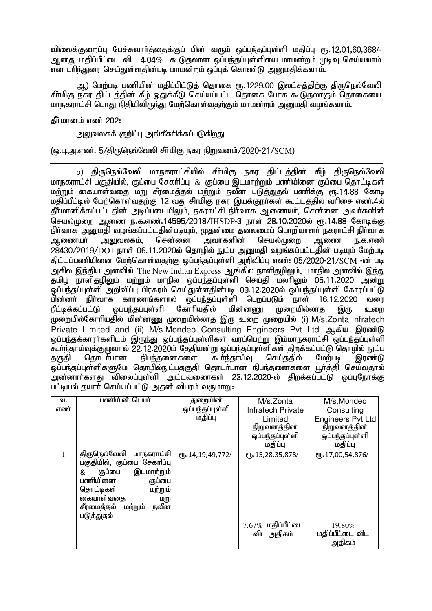விலைக்குறைப்பு பேச்சுவார்த்தைக்குப் பின் வரும் ஒப்பந்தப்புள்ளி மதிப்பு ரூ.12,01,60,368/-ஆனது மகிப்பீட்டை விட 4.04 $\%$  கூடுகலான ஒப்பந்தப்புள்ளியை மாமன்றம் முடிவு செய்யலாம் ்கு<br>என பரிந்துரை செய்துள்ளதின்படி மாமன்றம் ஒப்புக் கொண்டு அறைமதிக்கலாம்.

அ,) மேற்படி பணியின் மதிப்பிட்டுத் தொகை ரூ.1229.00 இலட்சத்திற்கு திருநெல்வேலி சீர்மிகு நகர திட்டத்தின் கீழ் ஒதுக்கீடு செய்யப்பட்ட தொகை போக கூடுதலாகும் தொகையை மாநகராட்சி பொது நிதியிலிருந்து மேற்கொள்வதற்கும் மாமன்றம் அனுமதி வழங்கலாம்.

கீர்மானம் எண் $202$ :

!!!!!!!!!!!!!

அலுவலகக் குறிப்பு அங்கீகரிக்கப்படுகிறது

(டைப, அ.எண். 5/கிருநெல்வேலி சீர்மிகு நகர நிறுவனம்/2020-21/SCM)

5) திருநெல்வேலி மாநகராட்சியில் சீர்மிகு நகர திட்டத்தின் கீழ் திருநெல்வேலி மாநகாாட்சி பகுகியில், குப்பை சேகரிப்பு & குப்பை இடமாற்றும் பணியினை குப்பை கொட்டிகள் ் மார் மக்கியாள்வகை மாடசீரமைக்கல் மாராம் நவீன படுத்துதல் பணிக்கு ரூ.14.88 கோடி மதிப்பீட்டில் மேற்கொள்வதற்கு 12 வது சீர்மிகு நகர இயக்குநர்கள் கூட்டத்தில் வரிசை எண 4ல் தீர்மானிக்கப்பட்டதின் அடிப்படையிலும், நகராட்சி நிர்வாக ஆணையர், சென்னை அவர்களின் செயல்முறை ஆணை ந.க.எண்.14595/2018/IHSDP-3 நாள் 28.10.2020ல் ரூ.14.88 கோடிக்கு eph;thf mDkjp toq;fg;gl;ljpd;gbAk;> Kjd;ik jiyikg; nghwpahsh; efuhl;rp eph;thf ஆணையா் அலுவலகம், சென்னை அவா்களின் செயல்முறை ஆணை <u>ந</u>.க.எண்  $28430/2019/DO1$  நாள்  $06.11.2020$ ல் தொழில் நுட்ப அனுமதி வழங்கப்பட்டதின் படியும் மேற்படி திட்டப்பணியினை மேற்கொள்வதற்கு ஒப்பந்தப்புள்ளி அறிவிப்பு எண்: 05/2020-21/SCM -ன் படி அகில இந்திய அளவில் The New Indian Express ஆங்கில நாளிதமிலும், மாநில அளவில் இந்து தமிழ் நாளிதழிலும் மற்றும் மாநில ஒப்பந்தப்புள்ளி செய்தி மலாிலும் 05.11.2020 அன்று <u>ஓப்பந்தப்புள்ளி அறிவிப்பு பிரசுரம் செய்துள்ளதின்படி 09.12.2020ல் ஒப்பந்தப்புள்ளி கோரப்பட்டு </u> பின்னா் நிா்வாக காரணங்களால் ஒப்பந்தப்புள்ளி பெறப்படும் நாள் 16.12.2020 வரை<br>நீட்டிக்கப்பட்டு வப்பந்தப்புள்ளி கோாியதில் மின்னணு முறையில்லாத இரு உறை நீட்டிக்கப்பட்டு ஒப்பந்தப்புள்ளி கோரியதில் மின்னணு முறையில்லாத இரு உறை முறையில்கோரியதில் மின்னணு முறையில்லாத இரு உறை முறையில் (i) M/s.Zonta Infratech Private Limited and (ii) M/s. Mondeo Consulting Engineers Pyt Ltd ஆகிய இரண்டு <u>ஒப்பந்த</u>க்காரா்களிடம் இருந்து ஒப்பந்தப்புள்ளிகள் வரப்பெற்று இம்மாநகராட்சி ஒப்பந்தப்புள்ளி .<br>சுடர்ந்தாய்வுக்குழுவால் 22.12.2020ம் தேதியன்று ஒப்பந்தப்புள்ளிகள் திறக்கப்பட்டு தொழில் நுட்ப<br>தகுதி தொடர்பான நிபந்தனைகளை கூர்ந்தாய்வ செய்ததில் மேற்படி இரண்டு தகுதி தொடர்பான நிபந்தனைகளை கூர்ந்தாய்வு செய்ததில் மேற்படி இரண்டு ஒப்பந்தப்புள்ளிகளுமே தொழில்நுட்பதகுதி தொடர்பான நிபந்தனைகளை பூர்த்தி செய்வதால் அன்னார்களது விலைப்புள்ளி அட்டவணைகள் 23.12.2020-ல் திறக்கப்பட்டு ஒப்புநோக்கு பட்டியல் தயாா் செய்யப்பட்டு அதன் விபரம் வருமாறு:-

| M/s.Mondeo               |
|--------------------------|
| Consulting               |
| <b>Engineers Pvt Ltd</b> |
| நிறுவனத்தின்             |
| ஒப்பந்தப்புள்ளி          |
| மதிப்பு                  |
|                          |
| СП, 17,00,54,876/-       |
|                          |
|                          |
|                          |
|                          |
|                          |
|                          |
|                          |
|                          |
| 19.80%                   |
| மதிப்பீட்டை விட          |
| அதிகம்                   |
|                          |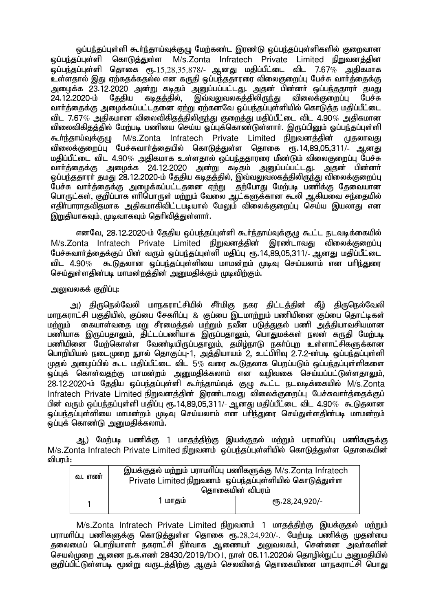ஒப்பந்தப்புள்ளி கூர்ந்தாய்வுக்குழு மேற்கண்ட இரண்டு ஒப்பந்தப்புள்ளிகளில் குறைவான ஒப்பந்தப்புள்ளி கொடுத்துள்ள M/s.Zonta Infratech Private Limited நிறுவனக்கின  $\tilde{\bm{\omega}}$ ப்பந்தப்புள்ளி தொகை ரூ. $15,28,35,878$ /- ஆனது மதிப்பீட்டை விட 7.67 $\tilde{\bm{\omega}}$  அதிகமாக உள்ளதால் இது ஏற்கதக்கதல்ல என கருதி ஒப்பந்ததாரரை விலைகுறைப்பு பேச்சு வார்த்தைக்கு அழைக்க 23.12.2020 அன்று கடிதம் அனு்ப்பப்பட்டது. அதன் பின்னா் ஒப்பந்ததாரா் தமது<br>24.12.2020-ம் தேதிய கடிதத்தில், இவ்வலுவலகத்திலிருந்து விலைக்குறைப்பு பேச்சு 24.12.2020-ம் தேதிய கடிதத்தில், இவ்வலுவலகத்திலிருந்து வார்த்தைக்கு அழைக்கப்பட்டதனை ஏற்று ஏற்கனவே ஒப்பந்தப்புள்ளியில் கொடுத்த மதிப்பீட்டை ் விட 7.67 $\%$  அதிகமான விலைவிகிதத்திலிருந்து குறைத்து மதிப்பீட்டை விட 4.90 $\%$  அதிகமான விலைவிகிதத்தில் மேற்படி பணியை செய்ய ஒப்புக்கொண்டுள்ளார். இருப்பினும் ஒப்பந்தப்புள்ளி கூர்ந்தாய்வுக்குழு M/s.Zonta Infratech Private Limited நிறுவனத்தின் முதலாவது ்விலைக்குறைப்பு பேச்சுவார்க்கையில் கொடுக்குள்ள கொகை ஸ். 14,89,05,311/- ஆனது மதிப்பீட்டை விட 4.90 $\%$  அதிகமாக உள்ளதால் ஒப்பந்ததாரரை மீண்டும் விலைகுறைப்பு பேச்சு வார்த்தைக்கு அழைக்க 24.12.2020 அன்று கடிதம் அனுப்பப்பட்டது. அதன் பின்னர் <u>ஒப்பந்த</u>தாரா் தமது 28.12.2020-ம் தேதிய கடிதத்தில், இவ்வலுவலகத்திலிருந்து விலைக்குறைப்பு ு — நிற்களை தடத்தி மார்ப்பட்டத்தன் *பாட்டம்* முன்னார்.<br>பேச்சு வாா்த்தைக்கு அழைக்கப்பட்டதனை ஏற்று தற்போது மேற்படி பணிக்கு தேவையான பொருட்கள், குறிப்பாக எரிபொருள் மற்றும் வேலை ஆட்களுக்கான கூலி ஆகியவை சந்தையில் எதிா்பாராதவிதமாக அதிகமாகிவிட்டபடியால் மேலும் விலைக்குறைப்பு செய்ய இயலாது என இறுகியாகவம், முடிவாகவம் கெரிவிக்குள்ளார்.

எனவே, 28.12.2020-ம் தேதிய ஒப்பந்தப்புள்ளி கூர்ந்தாய்வுக்குழு கூட்ட நடவடிக்கையில் M/s.Zonta Infratech Private Limited நிறுவனத்தின் இரண்டாவது விலைக்குறைப்பு பேச்சுவார்த்தைக்குப் பின் வரும் ஒப்பந்தப்புள்ளி மதிப்பு ரூ.14.89.05.311/- ஆனது மதிப்பீட்டை விட 4.90 $\%$  கூடுகலான ஒப்பந்தப்பள்ளியை மாமன்றம் முடிவு செய்யலாம் என பரிந்துரை செய்துள்ளதின்படி மாமன்றத்தின் அனுமதிக்கும் முடிவிற்கும்.

## <u>அலுவலகக் குறிப்பு:</u>

அ) திருநெல்வேலி மாநகராட்சியில் சீா்மிகு நகர திட்டத்தின் கீழ் திருநெல்வேலி மாநகாாட்சி பகுகியில். குப்பை சேகரிப்பு & குப்பை இடமாற்றும் பணியினை குப்பை கொட்டிகள் <u>மற்று</u>ம் கையாள்வதை மறு சீரமைத்தல் மற்றும் நவீன படுத்துதல் பணி அத்தியாவசியமான பணியாக இருப்பதாலும், திட்டப்பணியாக இருப்பதாலும், பொதுமக்கள் நலன் கருதி மேற்படி பணியினை மேற்கொள்ள வேண்டியிருப்பதாலும், தமிழ்நாடு நகர்ப்புற உள்ளாட்சிகளுக்கான பொறியியல் நடைமுறை நுரல் தொகுப்பு-1, அத்தியாயம் 2, உட்பிரிவு 2.7.2-ன்படி ஒப்பந்தப்புள்ளி  $\mu$ குல் அமைப்பில் கூட மதிப்பீட்டை விட 5 $\%$  வரை கூடுதலாக பெறப்படும் ஒப்பந்தப்புள்ளிகளை .<br>ஒப்புக் கொள்வதற்கு மாமன்றம் அனுமதிக்கலாம் என வழிவகை செய்யப்பட்டுள்ளதாலும். 28.12.2020-ம் தேதிய ஒப்பந்தப்புள்ளி கூர்ந்தாய்வுக் குழு கூட்ட நடவடிக்கையில் M/s.Zonta Infratech Private Limited நிறுவனத்தின் இரண்டாவது விலைக்குறைப்பு பேச்சுவார்த்தைக்குப் பின் வரும் ஒப்பந்தப்புள்ளி மதிப்பு ரூ.14,89,05,311/- ஆனது மதிப்பீட்டை விட 4.90 $\%$  கூடுுதலான ஒப்பந்தப்புள்ளியை மாமன்றம் முடிவு செய்யலாம் என பாிந்துரை செய்துள்ளதின்படி மாமன்றம்  $\widetilde{\mathbf{q}}$ ப்புக் கொண்டு அனுமதிக்கலாம்.

ஆ) மேற்படி பணிக்கு 1 மாதத்திற்கு இயக்குதல் மற்றும் பராமரிப்பு பணிகளுக்கு M/s.Zonta Infratech Private Limited நிறுவனம் ஒப்பந்தப்புள்ளியில் கொடுக்குள்ள கொகையின் விபாம்:

| வ. எண் | இயக்குதல் மற்றும் பராமரிப்பு பணிகளுக்கு M/s.Zonta Infratech<br>Private Limited நிறுவனம் ஒப்பந்தப்புள்ளியில் கொடுத்துள்ள<br>தொகையின் விபரம் |  |  |
|--------|--------------------------------------------------------------------------------------------------------------------------------------------|--|--|
|        | 1 மாதம்<br>$($ <sup>0</sup> 5.28,24,920/-                                                                                                  |  |  |

M/s.Zonta Infratech Private Limited நிறுவனம் 1 மாதத்திற்கு இயக்குதல் மற்றும் பராமரிப்பு பணிகளுக்கு கொடுத்துள்ள தொகை ரூ. $28.24.920/$ -. மேற்படி பணிக்கு முதன்மை தலைமைப் பொறியாளா் நகராட்சி நிா்வாக ஆணையா் அலுவலகம், சென்னை அவா்களின் .<br>செயல்முறை ஆணை ந.க.எண் 28430/2019/DO1, நாள் 06.11.2020ல் தொழில்நுட்ப அனுமதியில் குறிப்பிட்டுள்ளபடி மூன்று வருடத்திற்கு ஆகும் செலவினத் தொகையினை மாநகராட்சி பொது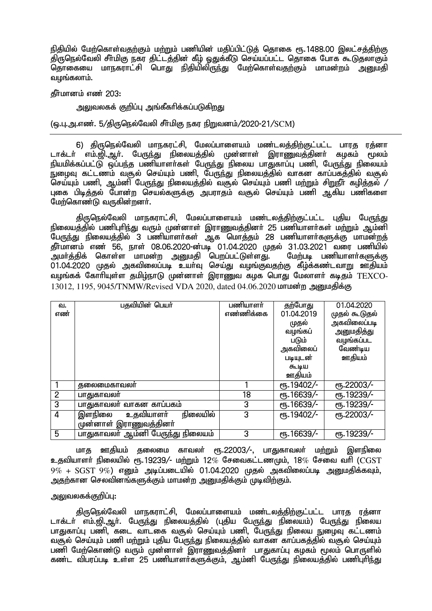நிதியில் மேற்கொள்வதற்கும் மற்றும் பணியின் மகிப்பிட்டுக் கொகை ரூ. 1488.00 இலட்சக்கிற்கு .<br>திருநெல்வேலி சீர்மிகு நகர திட்டத்தின் கீழ் ஒதுக்கீடு செய்யப்பட்ட தொகை போக கூடுதலாகும் ் தொகையை மாநகராட்சி பொது நிதியிலிருந்து மேற்கொள்வதற்கும் மாமன்றம் அறைதி வழங்கலாம்.

தீர்மானம் எண் 203:

அலுவலகக் குறிப்பு அங்கீகரிக்கப்படுகிறது

(டைபு.அ.எண். 5/திருநெல்வேலி சீர்மிகு நகர நிறுவனம்/2020-21/SCM)

6) திருநெல்வேலி மாநகரட்சி, மேலப்பாளையம் மண்டலத்திற்குட்பட்ட பாரத ரத்னா டாக்டர் எம்.ஜி.ஆர். பேருந்து நிலையத்தில் முன்னாள் இராணுவத்தினர் கழகம் மூலம் <u>நியமிக்கப்பட்டு ஒப்பந்த</u> பணியாளர்கள் பேருந்து நிலைய பாதுகாப்பு பணி, பேருந்து நிலையம் .<br>நுழைவு கட்டணம் வசூல் செய்யும் பணி, பேருந்து நிலையத்தில் வாகன காப்பகத்தில் வசூல் .<br>செய்யும் பணி, ஆம்னி பேருந்து நிலையத்தில் வசூல் செய்யும் பணி மற்றும் சிறுநீா் கழித்தல் / புகை பிடித்தல் போன்ற செயல்களுக்கு அபராதம் வசூல் செய்யும் பணி ஆகிய பணிகளை மேற்கொண்டு வருகின்றனர்.

திருநெல்வேலி மாநகராட்சி, மேலப்பாளையம் மண்டலத்திற்குட்பட்ட புதிய பேருந்து <u>நிலையத்தில் பணிபுரிந்து</u> வரும் முன்னாள் இராணுவத்தினர் 25 பணியாளர்கள் மற்றும் ஆம்னி .<br>பேருந்து நிலையத்தில் 3 பணியாளர்கள் ஆக மொத்தம் 28 பணியாளர்களுக்கு மாமன்றத் தீர்மானம் எண் 56, நாள் 08.06.2020-ன்படி 01.04.2020 முதல் 31.03.2021 வரை பணியில் அமர்த்திக் கொள்ள மாமன்ற அனுமதி பெறப்பட்டுள்ளது. மேற்படி பணியாளர்களுக்கு 01.04.2020 முதல் அகவிலைப்படி உயா்வு செய்து வழங்குவதற்கு கீழ்க்கண்டவாறு ஊதியம் வழங்கக் கோரியுள்ள தமிழ்நாடு முன்னாள் இராணுவ கழக பொது மேலாளா் கடிதம்  $\text{TEXCO-}\,$ 13012, 1195, 9045/TNMW/Revised VDA 2020, dated 04.06.2020 மாமன்ற அனுமதிக்கு

| வ.             | பதவியின் பெயர்                    | பணியாளர்  | தற்போது     | 01.04.2020         |
|----------------|-----------------------------------|-----------|-------------|--------------------|
| எண்            |                                   | எண்ணிக்கை | 01.04.2019  | முதல் கூடுதல்      |
|                |                                   |           | முதல்       | அகவிலைப்படி        |
|                |                                   |           | வழங்கப்     | அனுமதித்து         |
|                |                                   |           | படும்       | வழங்கப்பட          |
|                |                                   |           | அகவிலைப்    | வேண்டிய            |
|                |                                   |           | படியுடன்    | ஊதியம்             |
|                |                                   |           | கூடிய       |                    |
|                |                                   |           | ஊதியம்      |                    |
|                | தலைமைகாவலர்                       |           | ரு. 19402/- | ரூ.22003/-         |
| $\overline{2}$ | பாதுகாவலர்                        | 18        | ரு. 16639/- | ரு.19239/-         |
| $\overline{3}$ | பாதுகாவலர் வாகன காப்பகம்          | 3         | ரு. 16639/- | ரூ.19239/-         |
| 4              | நிலையில்<br>இளநிலை<br>உதவியாளர்   | 3         | ரு. 19402/- | <b>е</b> ђ.22003/- |
|                | முன்னாள் இராணுவத்தினா்            |           |             |                    |
| 5              | பாதுகாவலா் ஆம்னி பேருந்து நிலையம் | 3         | ரு. 16639/- | ரு.19239/-         |

மாத ஊதியம் தலைமை காவலா் ரூ.22003/-, பாதுகாவலா் ம<u>ற்று</u>ம் இளநிலை உதவியாளர் நிலையில் ரூ.19239/- மற்றும் 12 $\%$  சேவைகட்டணமும், 18 $\%$  சேவை வரி ( $\rm CGST$  $9\%$  +  $SGST$   $9\%$ ) எனும் அடிப்படையில் 01.04.2020 முதல் அகவிலைப்படி அறுமதிக்கவும். அதற்கான செலவினங்களுக்கும் மாமன்ற அனுமதிக்கும் முடிவிற்கும்.

#### அலுவலகக்குறிப்பு:

திருநெல்வேலி மாநகராட்சி, மேலப்பாளையம் மண்டலத்திற்குட்பட்ட பாரத ரத்னா டாக்டர் எம்.ஜி.ஆர். பேருந்து நிலையத்தில் (புதிய பேருந்து நிலையம்) பேருந்து நிலைய பாதுகாப்பு பணி, கடை வாடகை வசூல் செய்யும் பணி, போந்து நிலைய நுமைவு கட்டணம் வசூல் செய்யும் பணி மற்றும் புதிய பேருந்து நிலையத்தில் வாகன காப்பகத்தில் வசூல் செய்யும் பணி மேற்கொண்டு வரும் முன்னாள் இராணுவத்தினா் பாதுகாப்பு கழகம் மூலம் பொருளில் கண்ட விபரப்படி உள்ள 25 பணியாளர்களுக்கும், ஆம்னி பேருந்து நிலையத்தில் பணிபுரிந்து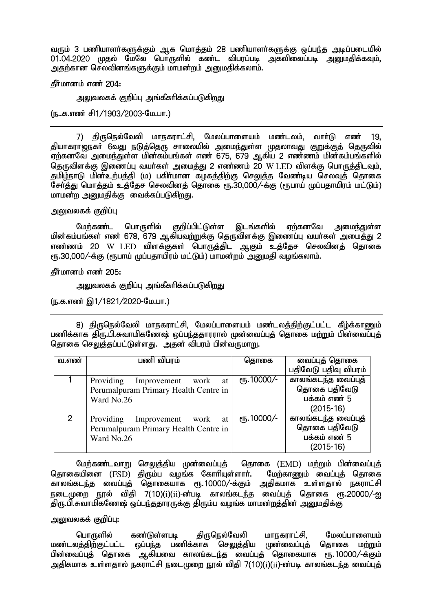வரும் 3 பணியாளர்களுக்கும் ஆக மொத்தம் 28 பணியாளர்களுக்கு ஒப்பந்த அடிப்படையில் 01.04.2020 முதல் மேலே பொருளில் கண்ட விபரப்படி அகவிலைப்படி அனுமதிக்கவும். அதற்கான செலவினங்களுக்கும் மாமன்றம் அறுமதிக்கலாம்.

கீர்மானம் எண் $204$ :

அலுவலகக் குறிப்பு அங்கீகரிக்கப்படுக<u>ிறத</u>ு

(ந..க.எண் சி1/1903/2003-மே.பா.)

7) திருநெல்வேலி மாநகராட்சி, மேலப்பாளையம் மண்டலம், வார்டு எண் 19. <u>தியாகராஜந</u>கா் 6வது நடுத்தெரு சாலையில் அமை<u>ந்து</u>ள்ள முதலாவது குறுக்குத் தெருவில் ்.<br>எற்கனவே அமைந்துள்ள மின்கம்பங்கள் எண 675, 679 ஆகிய 2 எண்ணம் மின்கம்பங்களில் தெருவிளக்கு இணைப்பு வயர்கள் அமைத்து 2 எண்ணம் 20 W LED விளக்கு பொருத்திடவும். தமிழ்நாடு மின்உற்பத்தி (ம) பகிர்மான கழகத்திற்கு செலுத்த வேண்டிய செலவுத் தொகை சேர்த்து மொத்தம் உத்தேச செலவினத் தொகை ரூ.30,000/-க்கு (ரூபாய் முப்பதாயிரம் மட்டும்) மாமன்ற அறுமதிக்கு வைக்கப்படுகிறது.

அலுவலகக் குறிப்பு

மேற்கண்ட பொருளில் குறிப்பிட்டுள்ள இடங்களில் ஏற்கனவே அமைந்துள்ள <u>மின்கம்பங்கள் எண் 678, 679 ஆகியவற்றுக்கு தெருவிளக்கு இணைப்பு வயர்கள் அமைத்து 2</u> எண்ணம் 20 W LED விளக்குகள் பொருத்திட ஆகும் உத்தேச செலவினத் தொகை ரூ.30,000/-க்கு (ரூபாய் முப்பதாயிரம் மட்டும்) மாமன்றம் அனுமதி வழங்கலாம்.

தீர்மானம் எண் 205:

அலுவலகக் குறிப்பு அங்கீகரிக்கப்படுகிறது

(ந.க.எண் இ1/1821/2020-மே.பா.)

8) திருநெல்வேலி மாநகராட்சி, மேலப்பாளையம் மண்டலத்திற்குட்பட்ட கீழ்க்காணும் பணிக்காக திரு.பி.சுவாமிகணேஷ் ஒப்பந்ததாரரால் முன்வைப்புத் தொகை மற்றும் பின்வைப்புத் தொகை செலுத்தப்பட்டுள்ளது. அதன் விபரம் பின்வருமாறு.

| வ.எண்         | பணி விபரம்                             | தொகை         | வைப்புத் தொகை        |
|---------------|----------------------------------------|--------------|----------------------|
|               |                                        |              | பதிவேடு பதிவு விபரம் |
|               | Providing<br>Improvement<br>work<br>at | еть. 10000/- | காலங்கடந்த வைப்புத்  |
|               | Perumalpuram Primary Health Centre in  |              | தொகை பதிவேடு         |
|               | Ward No.26                             |              | பக்கம் எண் 5         |
|               |                                        |              | $(2015-16)$          |
| $\mathcal{P}$ | Providing<br>Improvement<br>work<br>at | еть. 10000/- | காலங்கடந்த வைப்புத்  |
|               | Perumalpuram Primary Health Centre in  |              | தொகை பதிவேடு         |
|               | Ward No.26                             |              | பக்கம் எண் 5         |
|               |                                        |              | $(2015-16)$          |

மேற்கண்டவாறு செலுத்திய முன்வைப்புத் தொகை (EMD) மற்றும் பின்வைப்புத் தொகையினை (FSD) திரும்ப வமங்க கோரியுள்ளார். மேற்காணும் வைப்புக் கொகை காலங்கடந்த வைப்புத் தொகையாக ரூ.10000/-க்கும் அதிகமாக உள்ளதால் நகராட்சி நடைமுறை நூல் விதி 7(10)( $i$ )( $ii$ )-ன்படி காலங்கடந்த வைப்புத் தொகை ரூ.20000/-ஐ திரு.பி.சுவாமிகணேஷ் ஒப்பந்ததாரருக்கு திரும்ப வழங்க மாமன்றத்தின் அறையகிக்கு

அலுவலகக் குறிப்பு:

பொருளில் கண்டுள்ளபடி திருநெல்வேலி மாநகராட்சி, மேலப்பாளையம் மண்டலத்திற்குட்பட்ட ஒப்பந்த பணிக்காக செலுத்திய முன்வைப்புத் தொகை மற்றும் பின்வைப்புத் தொகை ஆகியவை காலங்கடந்த வைப்புத் தொகையாக ரூ.10000/-க்கும் அதிகமாக உள்ளதால் நகராட்சி நடைமுறை நூல் விதி 7(10)( $\rm i$ )( $\rm ii$ )-ன்படி காலங்கடந்த வைப்புத்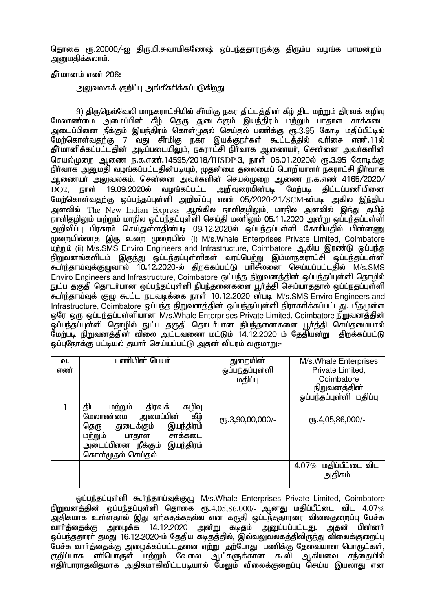தொகை ரூ.20000/-ஐ திரு.பி.சுவாமிகணேஷ் ஒப்பந்ததாரருக்கு திரும்ப வழங்க மாமன்றம் அறுமதிக்கலாம்.

தீர்மானம் எண் 206:

அலுவலகக் குறிப்பு அங்கீகரிக்கப்படுகிறது

9) திருநெல்வேலி மாநகராட்சியில் சீர்மிகு நகர திட்டத்தின் கீழ் திட மற்றும் திரவக் கழிவு மேலாண்மை அமைப்பின் கீழ் தெரு துடைக்கும் இயந்திரம் மற்றும் பாதாள சாக்கடை அடைப்பினை நீக்கும் இயந்திரம் கொள்முதல் செய்தல் பணிக்கு ரூ.3.95 கோடி மதிப்பீட்டில் ு.<br>மேற்கொள்வதற்கு 7 வது சீா்மிகு நகர இயக்குநா்கள் கூட்டத்தில் வாிசை எண்.11ல் தீா்மானிக்கப்பட்டதின் அடிப்படையிலும், நகராட்சி நிா்வாக ஆணையா், சென்னை அவா்களின் செயல்முறை ஆணை ந.க.எண்.14595/2018/IHSDP-3, நாள் 06.01.2020ல் ரூ.3.95 கோடிக்கு நிர்வாக அனுமதி வழங்கப்பட்டதின்படியும், முதன்மை தலைமைப் பொறியாளர் நகராட்சி நிர்வாக .<br>ஆணையர் அலுவலகம், சென்னை அவர்களின் செயல்முறை ஆணை ந.க.எண் 4165/2020/  $\overline{\mathrm{DO2.}}$  நாள் 19.09.2020ல் வழங்கப்பட்ட அறிவுரையின்படி மேற்படி கிட்டப்பணியினை மேற்கொள்வதற்கு ஒப்பந்தப்புள்ளி அறிவிப்பு எண் 05/2020-21/SCM-ன்படி அகில இந்திய அளவில் The New Indian Express ஆங்கில நாளிதழிலும், மாநில அளவில் இந்து தமிழ் நாளிகமிலும் மற்றும் மாநில ஒப்பந்தப்புள்ளி செய்தி மலரிலும் 05.11.2020 அன்று ஒப்பந்தப்புள்ளி mwptpg;G gpuRuk; nra;Js;sjpd;gb 09.12.2020y; xg;ge;jg;Gs;sp Nfhhpajpy; kpd;dZ முறையில்லாத இரு உறை முறையில் (i) M/s.Whale Enterprises Private Limited, Coimbatore மற்றும் (ii) M/s.SMS Enviro Engineers and Infrastructure, Coimbatore ஆகிய இரண்டு ஒப்பந்த நிறுவனங்களிடம் இருந்து ஒப்பந்தப்புள்ளிகள் வரப்பெற்று இம்மாநகராட்சி ஒப்பந்தப்புள்ளி கூர்ந்தாய்வுக்குழுவால் 10.12.2020-ல் திறக்கப்பட்டு பரிசீலனை செய்யப்பட்டதில் M/s.SMS Enviro Engineers and Infrastructure, Coimbatore ஒப்பந்த நிறுவனத்தின் ஒப்பந்தப்புள்ளி தொழில் நுட்ப தகுதி தொடர்பான ஒப்பந்தப்புள்ளி நிபந்தனைகளை பூர்த்தி செய்யாததால் ஒப்ப்நதப்புள்ளி கூர்ந்தாய்வுக் குழு கூட்ட நடவடிக்கை நாள் 10.12.2020 ன்படி M/s.SMS Enviro Engineers and Infrastructure, Coimbatore ஒப்பந்த நிறுவனத்தின் ஒப்பந்தப்புள்ளி நிராகரிக்கப்பட்டது. மீதமுள்ள  $\omega$ ோ  $\omega$ ாந்தப்பர்குப்புள்ளியான M/s.Whale Enterprises Private Limited, Coimbatore நிறுவனத்தின் .<br>ஒப்பந்தப்புள்ளி தொழில் நுட்ப தகுதி தொடர்பான நிபந்தனைகளை பூர்த்தி செய்தமையால் .<br>மேற்படி நிறுவனத்தின் விலை அட்டவணை மட்டும் 14.12.2020 ம் தேதியன்று திறக்கப்பட்டு <u>ஒப்புரோக்கு பட்டியல் த</u>யாா் செய்யப்பட்டு அதன் விபரம் வருமாறு:-

| வ.<br>எண் | பணியின் பெயர்                                                                                                                                                                                             | துறையின்<br>ஒப்பந்தப்புள்ளி<br>மதிப்பு | M/s Whale Enterprises<br>Private Limited,<br>Coimbatore<br>நிறுவனத்தின்<br>ஒப்பந்தப்புள்ளி மதிப்பு |
|-----------|-----------------------------------------------------------------------------------------------------------------------------------------------------------------------------------------------------------|----------------------------------------|----------------------------------------------------------------------------------------------------|
|           | திரவக்<br>கழிவு<br>திட<br>மற்றும்<br>கீழ்<br>அமைப்பி <del>ன</del> ்<br>மேலாண்மை<br>துடைக்கும்<br>இயந்திரம்<br>தெரு<br>மற்றும்<br>சாக்கடை<br>பாதாள<br>அடைப்பினை நீக்கும்<br>இயந்திரம்<br>கொள்முதல் செய்தல் | СПБ.3,90,00,000/-                      | СПБ.4,05,86,000/-                                                                                  |
|           |                                                                                                                                                                                                           |                                        | மதிப்பீட்டை விட<br>4.07%<br>அதிகம்                                                                 |

xg;ge;jg;Gs;sp \$h;e;jha;Tf;FO M/s.Whale Enterprises Private Limited, Coimbatore  $\frac{1}{2}$ நிறுவனத்தின் ஒப்பந்தப்புள்ளி தொகை ரூ. $4.05,86,000$ /- ஆனது மதிப்பீட்டை விட  $4.07\%$ .<br>அதிகமாக உள்ளதால் இது ஏற்கதக்கதல்ல என கருதி ஒப்பந்ததாரரை விலைகுறைப்பு பேச்சு<br>வார்க்கைக்கு அமைக்க 14.12.2020 அன்று கடிகம் அபைப்பப்பட்டகு. அகன் பின்னர் வார்த்தைக்கு அழைக்க 14.12.2020 அன்று கடிதம் அனுப்பப்பட்டது. அதன் <u>ஒப்பந்த</u>தாரா் தமது 16.12.2020-ம் தேதிய கடிதத்தில், இவ்வலுவலகத்திலிருந்து விலைக்குறைப்பு ீபச்சு வார்த்தைக்கு அழைக்கப்பட்டதனை ஏற்று தற்போது பணிக்கு தேவையான பொருட்கள்,<br>குறிப்பாக எாிபொருள் மற்றும் வேலை ஆட்களுக்கான கூலி ஆகியவை சந்தையில் ்துட்களுக்கான கூலி ு;<br>எதிர்பாராதவிதமாக அதிகமாகிவிட்டபடியால் மேலும் விலைக்குறைப்பு செய்ய இயலாது என